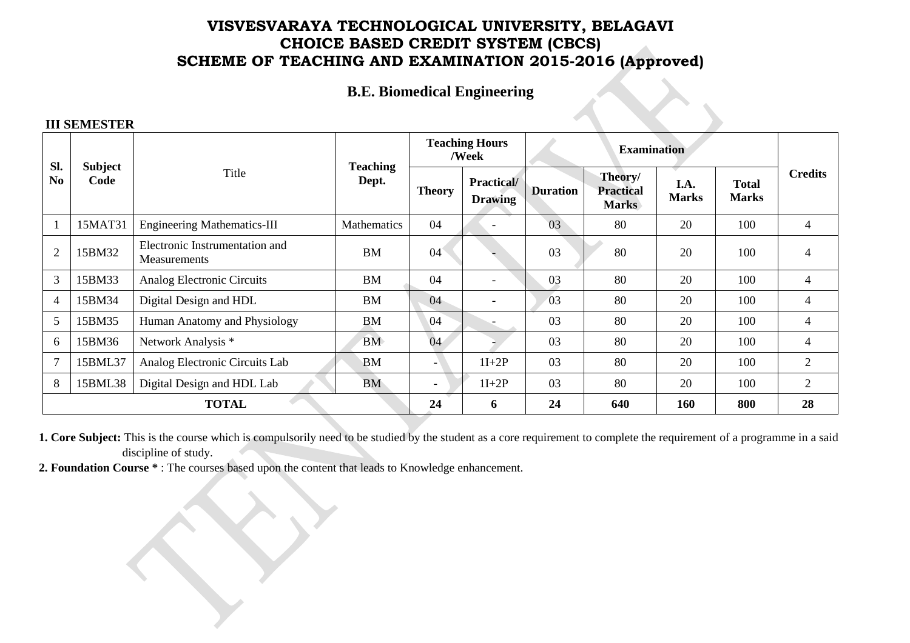# **VISVESVARAYA TECHNOLOGICAL UNIVERSITY, BELAGAVI CHOICE BASED CREDIT SYSTEM (CBCS) SCHEME OF TEACHING AND EXAMINATION 2015-2016 (Approved)**

### **B.E. Biomedical Engineering**

#### **III SEMESTER**

| Sl.<br>N <sub>0</sub> | Subject<br>Code | Title                                          | <b>Teaching</b><br>Dept. | <b>Teaching Hours</b><br>/Week |                              | <b>Examination</b> |                                             |                      |                              |                |
|-----------------------|-----------------|------------------------------------------------|--------------------------|--------------------------------|------------------------------|--------------------|---------------------------------------------|----------------------|------------------------------|----------------|
|                       |                 |                                                |                          | <b>Theory</b>                  | Practical/<br><b>Drawing</b> | <b>Duration</b>    | Theory/<br><b>Practical</b><br><b>Marks</b> | I.A.<br><b>Marks</b> | <b>Total</b><br><b>Marks</b> | <b>Credits</b> |
| $\overline{1}$        | 15MAT31         | <b>Engineering Mathematics-III</b>             | Mathematics              | 04                             | $\overline{\phantom{0}}$     | 03                 | 80                                          | 20                   | 100                          | $\overline{4}$ |
| $\overline{2}$        | 15BM32          | Electronic Instrumentation and<br>Measurements | <b>BM</b>                | 04                             |                              | 03                 | 80                                          | 20                   | 100                          | 4              |
| 3                     | 15BM33          | Analog Electronic Circuits                     | <b>BM</b>                | 04                             | $\overline{\phantom{a}}$     | 03                 | 80                                          | 20                   | 100                          | 4              |
| $\overline{4}$        | 15BM34          | Digital Design and HDL                         | <b>BM</b>                | 04                             | $\overline{\phantom{a}}$     | 03                 | 80                                          | 20                   | 100                          | 4              |
| 5                     | 15BM35          | Human Anatomy and Physiology                   | <b>BM</b>                | 04                             |                              | 03                 | 80                                          | 20                   | 100                          | $\overline{4}$ |
| 6                     | 15BM36          | Network Analysis *                             | <b>BM</b>                | 04                             |                              | 03                 | 80                                          | 20                   | 100                          | 4              |
| $\overline{7}$        | 15BML37         | Analog Electronic Circuits Lab                 | <b>BM</b>                | -                              | $1I+2P$                      | 03                 | 80                                          | 20                   | 100                          | 2              |
| 8                     | 15BML38         | Digital Design and HDL Lab                     | <b>BM</b>                | -                              | $1I+2P$                      | 03                 | 80                                          | 20                   | 100                          | $\overline{2}$ |
| <b>TOTAL</b>          |                 |                                                |                          | 24                             | 6                            | 24                 | 640                                         | 160                  | 800                          | 28             |

**1. Core Subject:** This is the course which is compulsorily need to be studied by the student as a core requirement to complete the requirement of a programme in a said discipline of study.

**2. Foundation Course \*** : The courses based upon the content that leads to Knowledge enhancement.